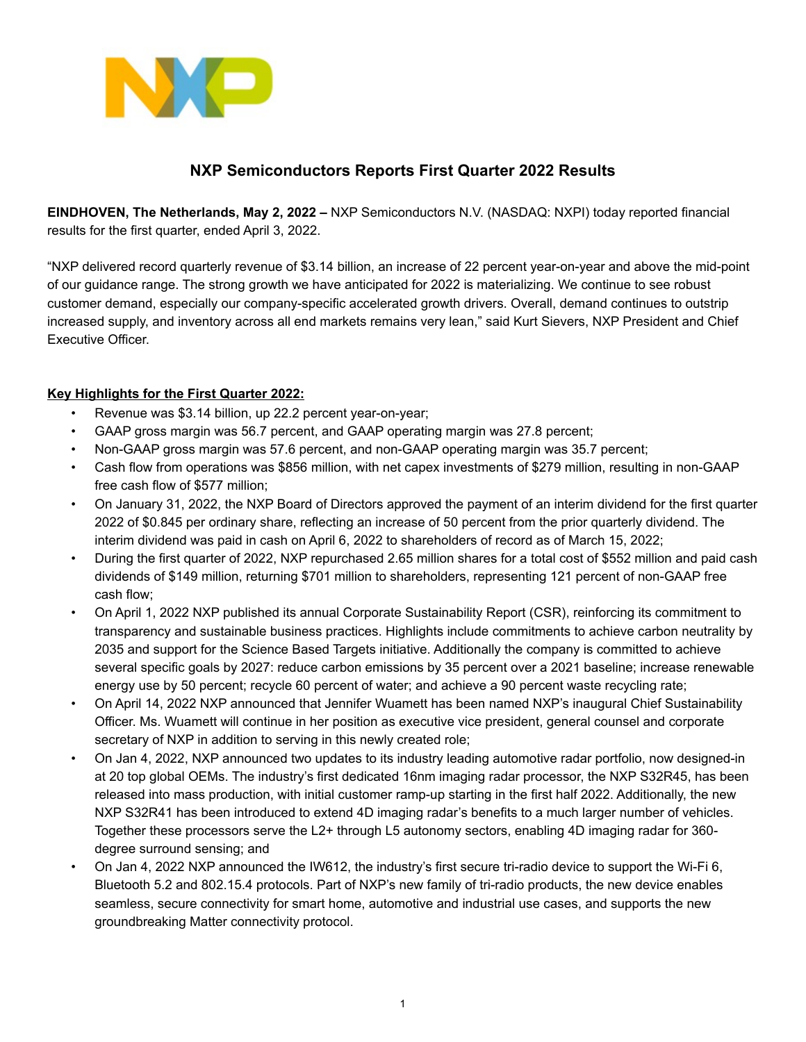

# **NXP Semiconductors Reports First Quarter 2022 Results**

**EINDHOVEN, The Netherlands, May 2, 2022 –** NXP Semiconductors N.V. (NASDAQ: NXPI) today reported financial results for the first quarter, ended April 3, 2022.

"NXP delivered record quarterly revenue of \$3.14 billion, an increase of 22 percent year-on-year and above the mid-point of our guidance range. The strong growth we have anticipated for 2022 is materializing. We continue to see robust customer demand, especially our company-specific accelerated growth drivers. Overall, demand continues to outstrip increased supply, and inventory across all end markets remains very lean," said Kurt Sievers, NXP President and Chief Executive Officer.

## **Key Highlights for the First Quarter 2022:**

- Revenue was \$3.14 billion, up 22.2 percent year-on-year;
- GAAP gross margin was 56.7 percent, and GAAP operating margin was 27.8 percent;
- Non-GAAP gross margin was 57.6 percent, and non-GAAP operating margin was 35.7 percent;
- Cash flow from operations was \$856 million, with net capex investments of \$279 million, resulting in non-GAAP free cash flow of \$577 million;
- On January 31, 2022, the NXP Board of Directors approved the payment of an interim dividend for the first quarter 2022 of \$0.845 per ordinary share, reflecting an increase of 50 percent from the prior quarterly dividend. The interim dividend was paid in cash on April 6, 2022 to shareholders of record as of March 15, 2022;
- During the first quarter of 2022, NXP repurchased 2.65 million shares for a total cost of \$552 million and paid cash dividends of \$149 million, returning \$701 million to shareholders, representing 121 percent of non-GAAP free cash flow;
- On April 1, 2022 NXP published its annual Corporate Sustainability Report (CSR), reinforcing its commitment to transparency and sustainable business practices. Highlights include commitments to achieve carbon neutrality by 2035 and support for the Science Based Targets initiative. Additionally the company is committed to achieve several specific goals by 2027: reduce carbon emissions by 35 percent over a 2021 baseline; increase renewable energy use by 50 percent; recycle 60 percent of water; and achieve a 90 percent waste recycling rate;
- On April 14, 2022 NXP announced that Jennifer Wuamett has been named NXP's inaugural Chief Sustainability Officer. Ms. Wuamett will continue in her position as executive vice president, general counsel and corporate secretary of NXP in addition to serving in this newly created role;
- On Jan 4, 2022, NXP announced two updates to its industry leading automotive radar portfolio, now designed-in at 20 top global OEMs. The industry's first dedicated 16nm imaging radar processor, the NXP S32R45, has been released into mass production, with initial customer ramp-up starting in the first half 2022. Additionally, the new NXP S32R41 has been introduced to extend 4D imaging radar's benefits to a much larger number of vehicles. Together these processors serve the L2+ through L5 autonomy sectors, enabling 4D imaging radar for 360 degree surround sensing; and
- On Jan 4, 2022 NXP announced the IW612, the industry's first secure tri-radio device to support the Wi-Fi 6, Bluetooth 5.2 and 802.15.4 protocols. Part of NXP's new family of tri-radio products, the new device enables seamless, secure connectivity for smart home, automotive and industrial use cases, and supports the new groundbreaking Matter connectivity protocol.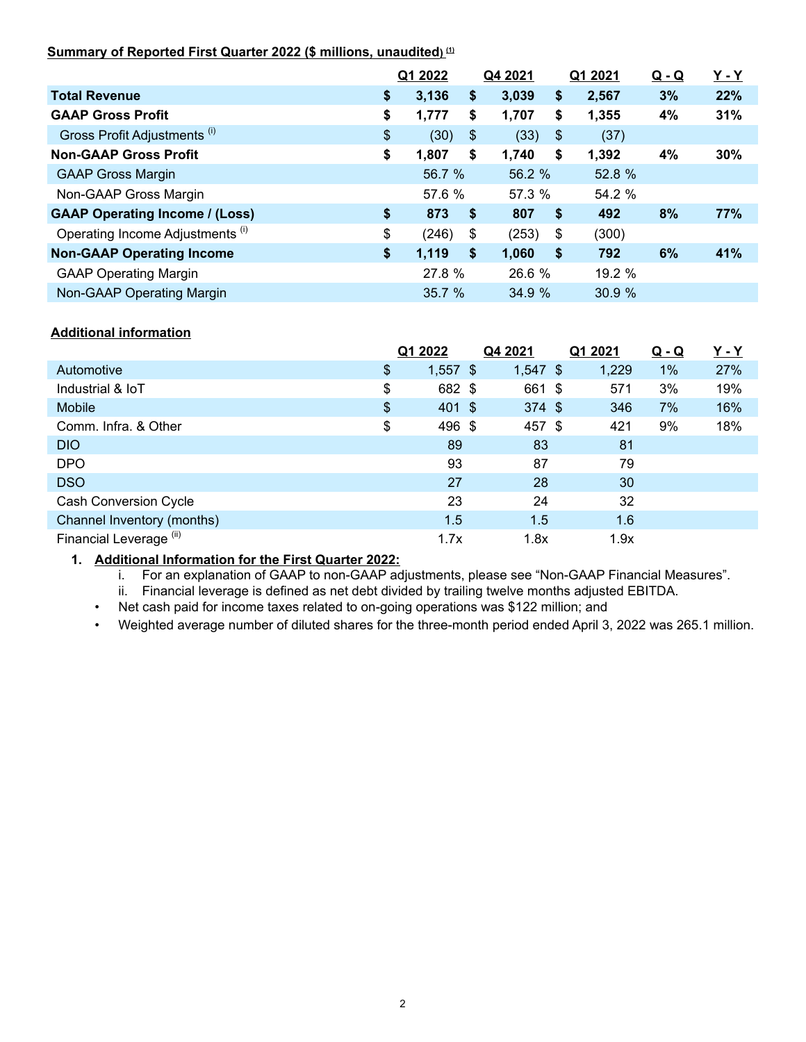## **Summary of Reported First Quarter 2022 (\$ millions, unaudited) (1)**

|                                       | Q1 2022     |               | Q4 2021 |                           | Q1 2021 | <u>Q - Q</u> | <u>Y - Y</u> |
|---------------------------------------|-------------|---------------|---------|---------------------------|---------|--------------|--------------|
| <b>Total Revenue</b>                  | \$<br>3,136 | \$            | 3,039   | \$                        | 2,567   | 3%           | 22%          |
| <b>GAAP Gross Profit</b>              | \$<br>1,777 | \$            | 1,707   | \$                        | 1,355   | 4%           | 31%          |
| Gross Profit Adjustments (i)          | \$<br>(30)  | $\sqrt[6]{3}$ | (33)    | $\boldsymbol{\mathsf{S}}$ | (37)    |              |              |
| <b>Non-GAAP Gross Profit</b>          | \$<br>1,807 | \$            | 1,740   | \$                        | 1,392   | 4%           | 30%          |
| <b>GAAP Gross Margin</b>              | 56.7 %      |               | 56.2 %  |                           | 52.8 %  |              |              |
| Non-GAAP Gross Margin                 | 57.6 %      |               | 57.3 %  |                           | 54.2 %  |              |              |
| <b>GAAP Operating Income / (Loss)</b> | \$<br>873   | \$            | 807     | \$                        | 492     | 8%           | 77%          |
| Operating Income Adjustments (i)      | \$<br>(246) | \$            | (253)   | \$                        | (300)   |              |              |
| <b>Non-GAAP Operating Income</b>      | \$<br>1,119 | \$            | 1,060   | \$                        | 792     | 6%           | 41%          |
| <b>GAAP Operating Margin</b>          | 27.8 %      |               | 26.6 %  |                           | 19.2 %  |              |              |
| Non-GAAP Operating Margin             | 35.7 %      |               | 34.9 %  |                           | 30.9%   |              |              |

## **Additional information**

|                                    | Q1 2022          | Q4 2021    | Q1 2021 | <u>Q - Q</u> | <u>Y - Y</u> |
|------------------------------------|------------------|------------|---------|--------------|--------------|
| Automotive                         | \$<br>$1,557$ \$ | $1,547$ \$ | 1,229   | 1%           | 27%          |
| Industrial & IoT                   | \$<br>682 \$     | 661 \$     | 571     | 3%           | 19%          |
| Mobile                             | \$<br>401 \$     | $374$ \$   | 346     | 7%           | 16%          |
| Comm. Infra. & Other               | \$<br>496 \$     | 457 \$     | 421     | 9%           | 18%          |
| <b>DIO</b>                         | 89               | 83         | 81      |              |              |
| <b>DPO</b>                         | 93               | 87         | 79      |              |              |
| <b>DSO</b>                         | 27               | 28         | 30      |              |              |
| <b>Cash Conversion Cycle</b>       | 23               | 24         | 32      |              |              |
| Channel Inventory (months)         | 1.5              | 1.5        | 1.6     |              |              |
| Financial Leverage <sup>(ii)</sup> | 1.7x             | 1.8x       | 1.9x    |              |              |

### **1. Additional Information for the First Quarter 2022:**

i. For an explanation of GAAP to non-GAAP adjustments, please see "Non-GAAP Financial Measures".

ii. Financial leverage is defined as net debt divided by trailing twelve months adjusted EBITDA.

• Net cash paid for income taxes related to on-going operations was \$122 million; and

• Weighted average number of diluted shares for the three-month period ended April 3, 2022 was 265.1 million.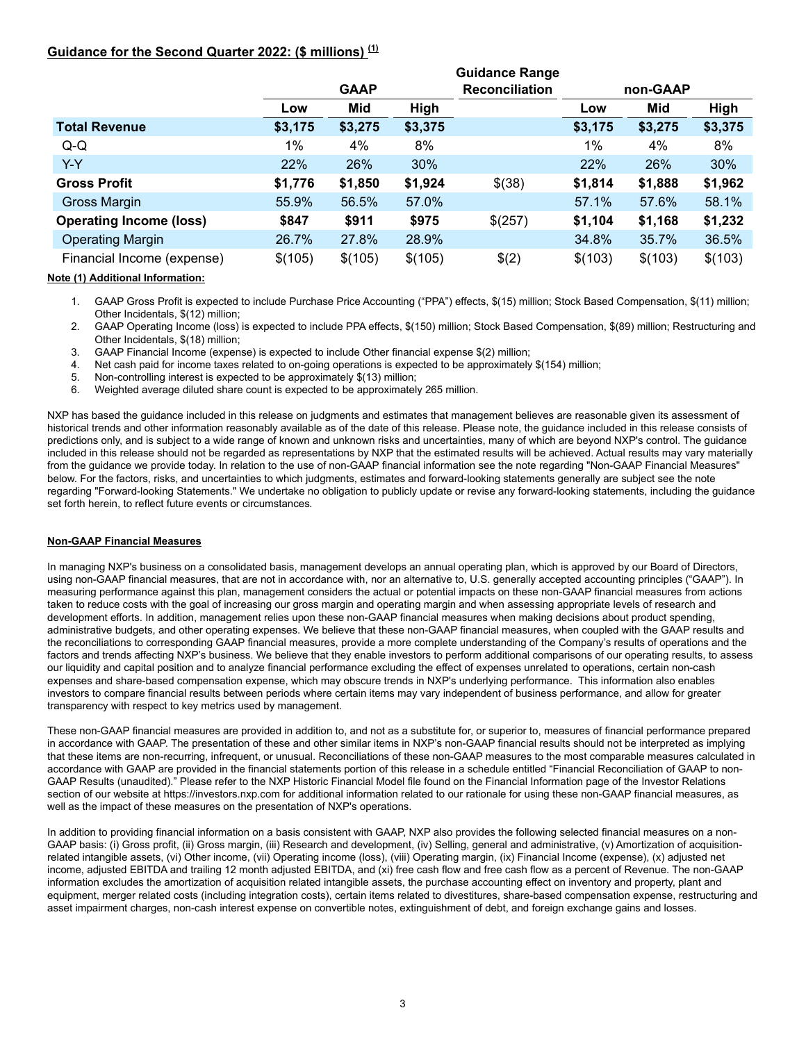### **Guidance for the Second Quarter 2022: (\$ millions) (1)**

|                                |         |             |         | <b>Guidance Range</b> |         |          |         |
|--------------------------------|---------|-------------|---------|-----------------------|---------|----------|---------|
|                                |         | <b>GAAP</b> |         | <b>Reconciliation</b> |         | non-GAAP |         |
|                                | Low     | Mid         | High    |                       | Low     | Mid      | High    |
| <b>Total Revenue</b>           | \$3,175 | \$3,275     | \$3,375 |                       | \$3,175 | \$3,275  | \$3,375 |
| $Q-Q$                          | $1\%$   | 4%          | 8%      |                       | 1%      | 4%       | 8%      |
| $Y-Y$                          | 22%     | 26%         | 30%     |                       | 22%     | 26%      | 30%     |
| <b>Gross Profit</b>            | \$1,776 | \$1,850     | \$1,924 | \$(38)                | \$1,814 | \$1,888  | \$1,962 |
| <b>Gross Margin</b>            | 55.9%   | 56.5%       | 57.0%   |                       | 57.1%   | 57.6%    | 58.1%   |
| <b>Operating Income (loss)</b> | \$847   | \$911       | \$975   | \$(257)               | \$1,104 | \$1,168  | \$1,232 |
| <b>Operating Margin</b>        | 26.7%   | 27.8%       | 28.9%   |                       | 34.8%   | 35.7%    | 36.5%   |
| Financial Income (expense)     | \$(105) | \$(105)     | \$(105) | \$(2)                 | \$(103) | \$(103)  | \$(103) |

**Note (1) Additional Information:**

- 1. GAAP Gross Profit is expected to include Purchase Price Accounting ("PPA") effects, \$(15) million; Stock Based Compensation, \$(11) million; Other Incidentals, \$(12) million;
- 2. GAAP Operating Income (loss) is expected to include PPA effects, \$(150) million; Stock Based Compensation, \$(89) million; Restructuring and Other Incidentals, \$(18) million;
- 3. GAAP Financial Income (expense) is expected to include Other financial expense \$(2) million;
- 4. Net cash paid for income taxes related to on-going operations is expected to be approximately \$(154) million;
- 5. Non-controlling interest is expected to be approximately \$(13) million;<br>6. Weighted average diluted share count is expected to be approximately
- 6. Weighted average diluted share count is expected to be approximately 265 million.

NXP has based the guidance included in this release on judgments and estimates that management believes are reasonable given its assessment of historical trends and other information reasonably available as of the date of this release. Please note, the guidance included in this release consists of predictions only, and is subject to a wide range of known and unknown risks and uncertainties, many of which are beyond NXP's control. The guidance included in this release should not be regarded as representations by NXP that the estimated results will be achieved. Actual results may vary materially from the guidance we provide today. In relation to the use of non-GAAP financial information see the note regarding "Non-GAAP Financial Measures" below. For the factors, risks, and uncertainties to which judgments, estimates and forward-looking statements generally are subject see the note regarding "Forward-looking Statements." We undertake no obligation to publicly update or revise any forward-looking statements, including the guidance set forth herein, to reflect future events or circumstances*.*

#### **Non-GAAP Financial Measures**

In managing NXP's business on a consolidated basis, management develops an annual operating plan, which is approved by our Board of Directors, using non-GAAP financial measures, that are not in accordance with, nor an alternative to, U.S. generally accepted accounting principles ("GAAP"). In measuring performance against this plan, management considers the actual or potential impacts on these non-GAAP financial measures from actions taken to reduce costs with the goal of increasing our gross margin and operating margin and when assessing appropriate levels of research and development efforts. In addition, management relies upon these non-GAAP financial measures when making decisions about product spending, administrative budgets, and other operating expenses. We believe that these non-GAAP financial measures, when coupled with the GAAP results and the reconciliations to corresponding GAAP financial measures, provide a more complete understanding of the Company's results of operations and the factors and trends affecting NXP's business. We believe that they enable investors to perform additional comparisons of our operating results, to assess our liquidity and capital position and to analyze financial performance excluding the effect of expenses unrelated to operations, certain non-cash expenses and share-based compensation expense, which may obscure trends in NXP's underlying performance. This information also enables investors to compare financial results between periods where certain items may vary independent of business performance, and allow for greater transparency with respect to key metrics used by management.

These non-GAAP financial measures are provided in addition to, and not as a substitute for, or superior to, measures of financial performance prepared in accordance with GAAP. The presentation of these and other similar items in NXP's non-GAAP financial results should not be interpreted as implying that these items are non-recurring, infrequent, or unusual. Reconciliations of these non-GAAP measures to the most comparable measures calculated in accordance with GAAP are provided in the financial statements portion of this release in a schedule entitled "Financial Reconciliation of GAAP to non-GAAP Results (unaudited)." Please refer to the NXP Historic Financial Model file found on the Financial Information page of the Investor Relations section of our website at https://investors.nxp.com for additional information related to our rationale for using these non-GAAP financial measures, as well as the impact of these measures on the presentation of NXP's operations.

In addition to providing financial information on a basis consistent with GAAP, NXP also provides the following selected financial measures on a non-GAAP basis: (i) Gross profit, (ii) Gross margin, (iii) Research and development, (iv) Selling, general and administrative, (v) Amortization of acquisitionrelated intangible assets, (vi) Other income, (vii) Operating income (loss), (viii) Operating margin, (ix) Financial Income (expense), (x) adjusted net income, adjusted EBITDA and trailing 12 month adjusted EBITDA, and (xi) free cash flow and free cash flow as a percent of Revenue. The non-GAAP information excludes the amortization of acquisition related intangible assets, the purchase accounting effect on inventory and property, plant and equipment, merger related costs (including integration costs), certain items related to divestitures, share-based compensation expense, restructuring and asset impairment charges, non-cash interest expense on convertible notes, extinguishment of debt, and foreign exchange gains and losses.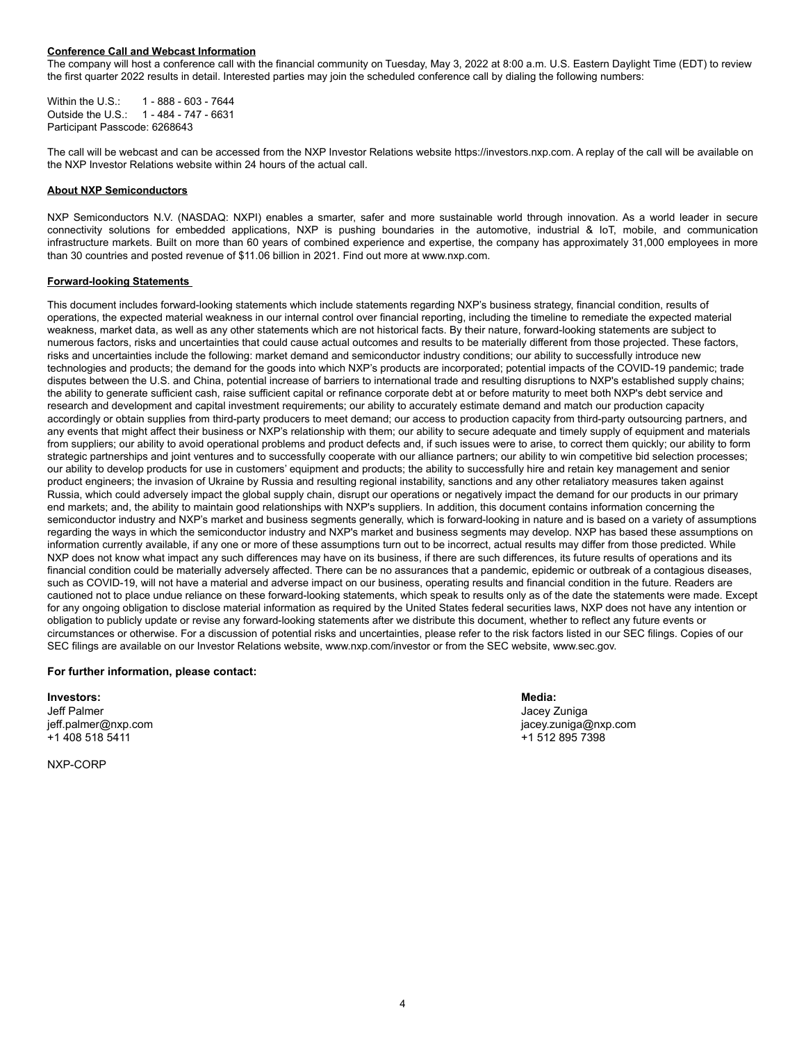#### **Conference Call and Webcast Information**

The company will host a conference call with the financial community on Tuesday, May 3, 2022 at 8:00 a.m. U.S. Eastern Daylight Time (EDT) to review the first quarter 2022 results in detail. Interested parties may join the scheduled conference call by dialing the following numbers:

Within the U.S.: 1 - 888 - 603 - 7644 Outside the U.S.: 1 - 484 - 747 - 6631 Participant Passcode: 6268643

The call will be webcast and can be accessed from the NXP Investor Relations website https://investors.nxp.com. A replay of the call will be available on the NXP Investor Relations website within 24 hours of the actual call.

#### **About NXP Semiconductors**

NXP Semiconductors N.V. (NASDAQ: NXPI) enables a smarter, safer and more sustainable world through innovation. As a world leader in secure connectivity solutions for embedded applications, NXP is pushing boundaries in the automotive, industrial & IoT, mobile, and communication infrastructure markets. Built on more than 60 years of combined experience and expertise, the company has approximately 31,000 employees in more than 30 countries and posted revenue of \$11.06 billion in 2021. Find out more at www.nxp.com.

#### **Forward-looking Statements**

This document includes forward-looking statements which include statements regarding NXP's business strategy, financial condition, results of operations, the expected material weakness in our internal control over financial reporting, including the timeline to remediate the expected material weakness, market data, as well as any other statements which are not historical facts. By their nature, forward-looking statements are subject to numerous factors, risks and uncertainties that could cause actual outcomes and results to be materially different from those projected. These factors, risks and uncertainties include the following: market demand and semiconductor industry conditions; our ability to successfully introduce new technologies and products; the demand for the goods into which NXP's products are incorporated; potential impacts of the COVID-19 pandemic; trade disputes between the U.S. and China, potential increase of barriers to international trade and resulting disruptions to NXP's established supply chains; the ability to generate sufficient cash, raise sufficient capital or refinance corporate debt at or before maturity to meet both NXP's debt service and research and development and capital investment requirements; our ability to accurately estimate demand and match our production capacity accordingly or obtain supplies from third-party producers to meet demand; our access to production capacity from third-party outsourcing partners, and any events that might affect their business or NXP's relationship with them; our ability to secure adequate and timely supply of equipment and materials from suppliers; our ability to avoid operational problems and product defects and, if such issues were to arise, to correct them quickly; our ability to form strategic partnerships and joint ventures and to successfully cooperate with our alliance partners; our ability to win competitive bid selection processes; our ability to develop products for use in customers' equipment and products; the ability to successfully hire and retain key management and senior product engineers; the invasion of Ukraine by Russia and resulting regional instability, sanctions and any other retaliatory measures taken against Russia, which could adversely impact the global supply chain, disrupt our operations or negatively impact the demand for our products in our primary end markets; and, the ability to maintain good relationships with NXP's suppliers. In addition, this document contains information concerning the semiconductor industry and NXP's market and business segments generally, which is forward-looking in nature and is based on a variety of assumptions regarding the ways in which the semiconductor industry and NXP's market and business segments may develop. NXP has based these assumptions on information currently available, if any one or more of these assumptions turn out to be incorrect, actual results may differ from those predicted. While NXP does not know what impact any such differences may have on its business, if there are such differences, its future results of operations and its financial condition could be materially adversely affected. There can be no assurances that a pandemic, epidemic or outbreak of a contagious diseases, such as COVID-19, will not have a material and adverse impact on our business, operating results and financial condition in the future. Readers are cautioned not to place undue reliance on these forward-looking statements, which speak to results only as of the date the statements were made. Except for any ongoing obligation to disclose material information as required by the United States federal securities laws, NXP does not have any intention or obligation to publicly update or revise any forward-looking statements after we distribute this document, whether to reflect any future events or circumstances or otherwise. For a discussion of potential risks and uncertainties, please refer to the risk factors listed in our SEC filings. Copies of our SEC filings are available on our Investor Relations website, www.nxp.com/investor or from the SEC website, www.sec.gov.

#### **For further information, please contact:**

**Investors: Media:**

Jeff Palmer Jacey Zuniga jeff.palmer@nxp.com jacey.zuniga@nxp.com +1 408 518 5411 +1 512 895 7398

NXP-CORP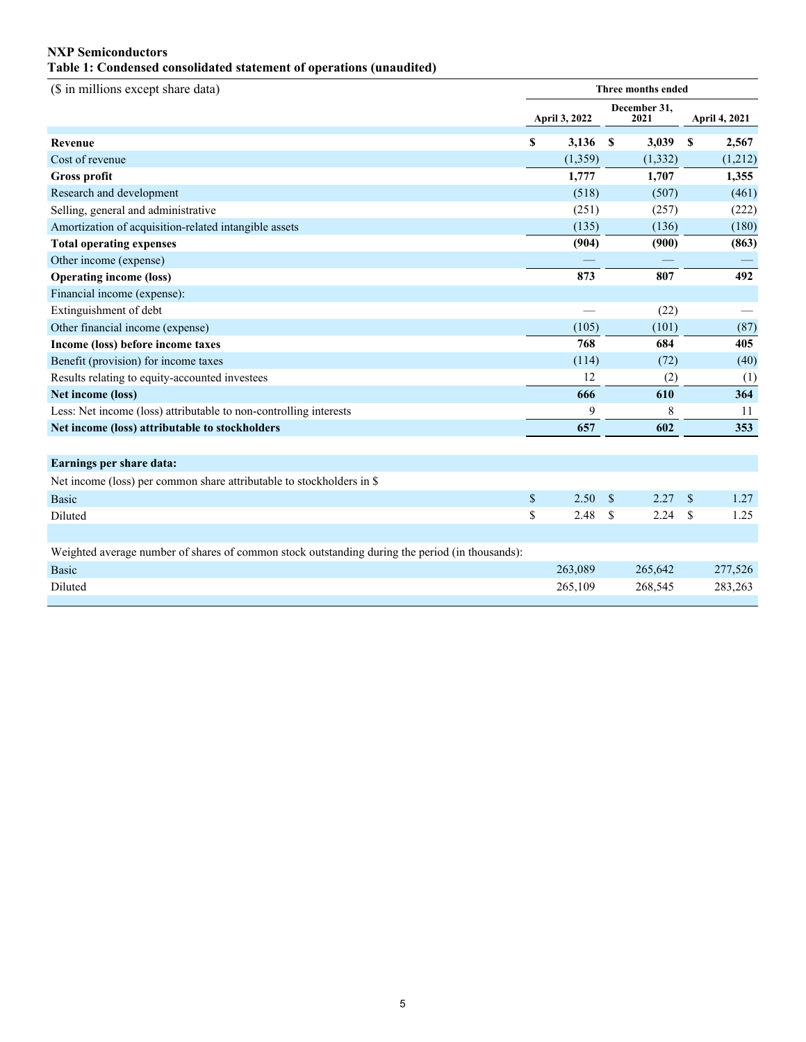### **NXP Semiconductors Table 1: Condensed consolidated statement of operations (unaudited)**

| (\$ in millions except share data)                                                              | Three months ended |               |                      |          |             |                      |
|-------------------------------------------------------------------------------------------------|--------------------|---------------|----------------------|----------|-------------|----------------------|
|                                                                                                 |                    | April 3, 2022 | December 31,<br>2021 |          |             | <b>April 4, 2021</b> |
| <b>Revenue</b>                                                                                  | $\mathbf S$        | 3,136         | S                    | 3,039    | \$          | 2,567                |
| Cost of revenue                                                                                 |                    | (1, 359)      |                      | (1, 332) |             | (1,212)              |
| <b>Gross profit</b>                                                                             |                    | 1,777         |                      | 1,707    |             | 1,355                |
| Research and development                                                                        |                    | (518)         |                      | (507)    |             | (461)                |
| Selling, general and administrative                                                             |                    | (251)         |                      | (257)    |             | (222)                |
| Amortization of acquisition-related intangible assets                                           |                    | (135)         |                      | (136)    |             | (180)                |
| <b>Total operating expenses</b>                                                                 |                    | (904)         |                      | (900)    |             | (863)                |
| Other income (expense)                                                                          |                    |               |                      |          |             |                      |
| <b>Operating income (loss)</b>                                                                  |                    | 873           |                      | 807      |             | 492                  |
| Financial income (expense):                                                                     |                    |               |                      |          |             |                      |
| Extinguishment of debt                                                                          |                    |               |                      | (22)     |             |                      |
| Other financial income (expense)                                                                |                    | (105)         |                      | (101)    |             | (87)                 |
| Income (loss) before income taxes                                                               |                    | 768           |                      | 684      |             | 405                  |
| Benefit (provision) for income taxes                                                            |                    | (114)         |                      | (72)     |             | (40)                 |
| Results relating to equity-accounted investees                                                  |                    | 12            |                      | (2)      |             | (1)                  |
| Net income (loss)                                                                               |                    | 666           |                      | 610      |             | 364                  |
| Less: Net income (loss) attributable to non-controlling interests                               |                    | 9             |                      | 8        |             | 11                   |
| Net income (loss) attributable to stockholders                                                  |                    | 657           |                      | 602      |             | 353                  |
|                                                                                                 |                    |               |                      |          |             |                      |
| Earnings per share data:                                                                        |                    |               |                      |          |             |                      |
| Net income (loss) per common share attributable to stockholders in \$                           |                    |               |                      |          |             |                      |
| <b>Basic</b>                                                                                    | $\mathbb{S}$       | 2.50          | <sup>\$</sup>        | 2.27     | $\mathbf S$ | 1.27                 |
| Diluted                                                                                         | \$                 | 2.48          | \$                   | 2.24     | $\mathbf S$ | 1.25                 |
|                                                                                                 |                    |               |                      |          |             |                      |
| Weighted average number of shares of common stock outstanding during the period (in thousands): |                    |               |                      |          |             |                      |
| <b>Basic</b>                                                                                    |                    | 263,089       |                      | 265,642  |             | 277,526              |
| Diluted                                                                                         |                    | 265,109       |                      | 268,545  |             | 283,263              |
|                                                                                                 |                    |               |                      |          |             |                      |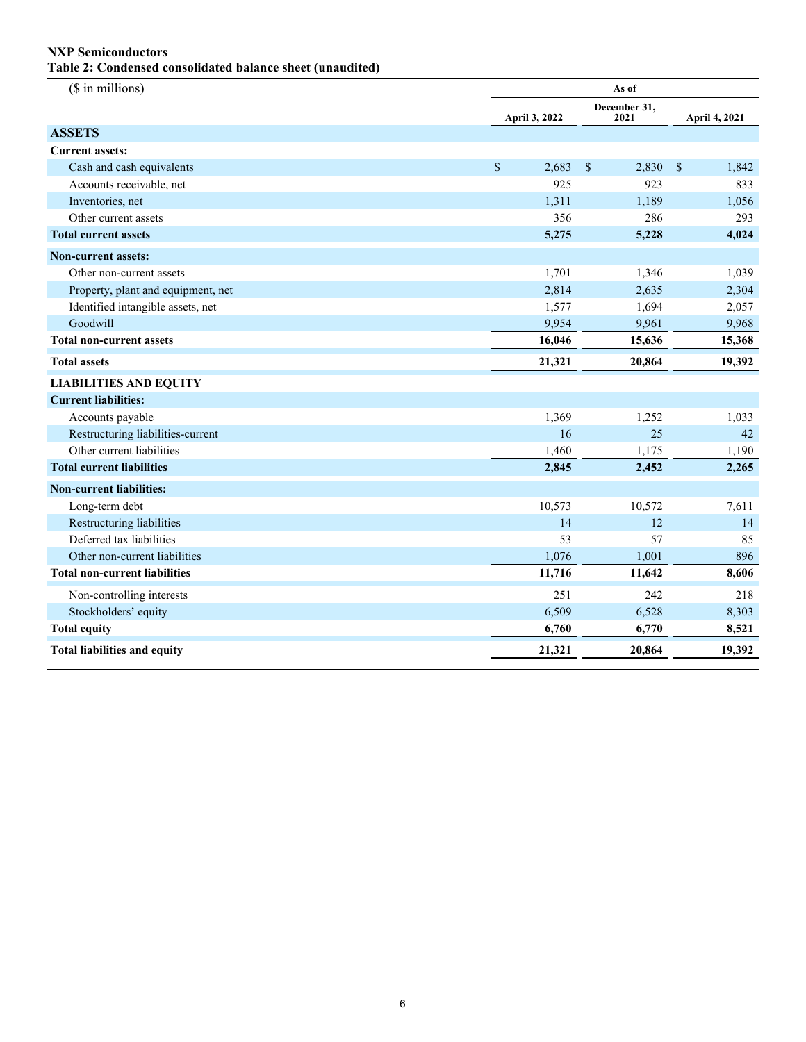### **NXP Semiconductors**

**Table 2: Condensed consolidated balance sheet (unaudited)**

| (\$ in millions)                     | As of         |                                    |                       |  |  |
|--------------------------------------|---------------|------------------------------------|-----------------------|--|--|
|                                      | April 3, 2022 | December 31,<br>2021               | April 4, 2021         |  |  |
| <b>ASSETS</b>                        |               |                                    |                       |  |  |
| <b>Current assets:</b>               |               |                                    |                       |  |  |
| Cash and cash equivalents            | \$<br>2,683   | $\boldsymbol{\mathsf{S}}$<br>2,830 | $\mathbb{S}$<br>1,842 |  |  |
| Accounts receivable, net             | 925           | 923                                | 833                   |  |  |
| Inventories, net                     | 1,311         | 1,189                              | 1,056                 |  |  |
| Other current assets                 | 356           | 286                                | 293                   |  |  |
| <b>Total current assets</b>          | 5,275         | 5,228                              | 4,024                 |  |  |
| <b>Non-current assets:</b>           |               |                                    |                       |  |  |
| Other non-current assets             | 1,701         | 1,346                              | 1,039                 |  |  |
| Property, plant and equipment, net   | 2,814         | 2,635                              | 2,304                 |  |  |
| Identified intangible assets, net    | 1,577         | 1,694                              | 2,057                 |  |  |
| Goodwill                             | 9,954         | 9,961                              | 9,968                 |  |  |
| <b>Total non-current assets</b>      | 16,046        | 15,636                             | 15,368                |  |  |
| <b>Total assets</b>                  | 21,321        | 20,864                             | 19,392                |  |  |
| <b>LIABILITIES AND EQUITY</b>        |               |                                    |                       |  |  |
| <b>Current liabilities:</b>          |               |                                    |                       |  |  |
| Accounts payable                     | 1,369         | 1,252                              | 1,033                 |  |  |
| Restructuring liabilities-current    | 16            | 25                                 | 42                    |  |  |
| Other current liabilities            | 1,460         | 1,175                              | 1,190                 |  |  |
| <b>Total current liabilities</b>     | 2,845         | 2,452                              | 2,265                 |  |  |
| <b>Non-current liabilities:</b>      |               |                                    |                       |  |  |
| Long-term debt                       | 10,573        | 10,572                             | 7,611                 |  |  |
| Restructuring liabilities            | 14            | 12                                 | 14                    |  |  |
| Deferred tax liabilities             | 53            | 57                                 | 85                    |  |  |
| Other non-current liabilities        | 1,076         | 1,001                              | 896                   |  |  |
| <b>Total non-current liabilities</b> | 11,716        | 11,642                             | 8,606                 |  |  |
| Non-controlling interests            | 251           | 242                                | 218                   |  |  |
| Stockholders' equity                 | 6,509         | 6,528                              | 8,303                 |  |  |
| <b>Total equity</b>                  | 6,760         | 6,770                              | 8,521                 |  |  |
| <b>Total liabilities and equity</b>  | 21,321        | 20,864                             | 19,392                |  |  |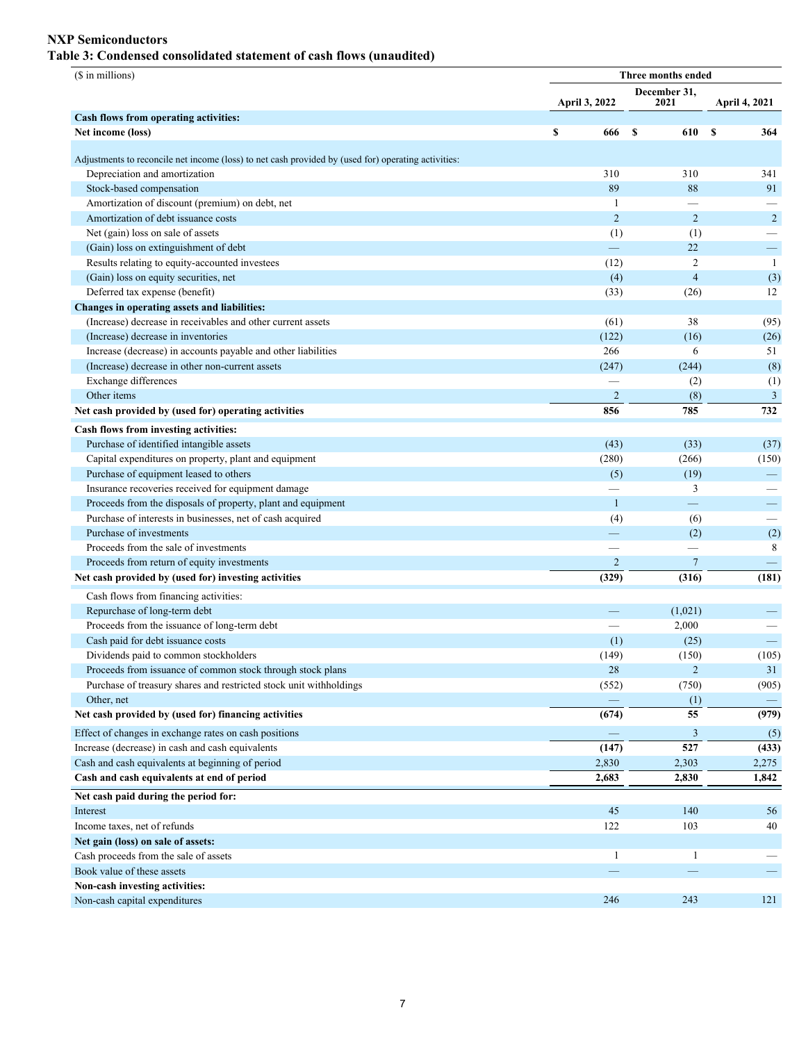### **NXP Semiconductors**

# **Table 3: Condensed consolidated statement of cash flows (unaudited)**

| (\$ in millions)                                                                                    | Three months ended       |                      |                          |  |  |  |  |  |
|-----------------------------------------------------------------------------------------------------|--------------------------|----------------------|--------------------------|--|--|--|--|--|
|                                                                                                     | April 3, 2022            | December 31,<br>2021 | April 4, 2021            |  |  |  |  |  |
| Cash flows from operating activities:                                                               |                          |                      |                          |  |  |  |  |  |
| Net income (loss)                                                                                   | \$<br>666                | S<br>610             | S<br>364                 |  |  |  |  |  |
| Adjustments to reconcile net income (loss) to net cash provided by (used for) operating activities: |                          |                      |                          |  |  |  |  |  |
| Depreciation and amortization                                                                       | 310                      | 310                  | 341                      |  |  |  |  |  |
| Stock-based compensation                                                                            | 89                       | 88                   | 91                       |  |  |  |  |  |
| Amortization of discount (premium) on debt, net                                                     | 1                        |                      |                          |  |  |  |  |  |
| Amortization of debt issuance costs                                                                 | $\overline{2}$           | $\overline{2}$       | $\overline{2}$           |  |  |  |  |  |
| Net (gain) loss on sale of assets                                                                   | (1)                      | (1)                  |                          |  |  |  |  |  |
| (Gain) loss on extinguishment of debt                                                               |                          | 22                   | $\overline{\phantom{m}}$ |  |  |  |  |  |
| Results relating to equity-accounted investees                                                      | (12)                     | $\overline{2}$       | -1                       |  |  |  |  |  |
| (Gain) loss on equity securities, net                                                               | (4)                      | $\overline{4}$       | (3)                      |  |  |  |  |  |
| Deferred tax expense (benefit)                                                                      | (33)                     | (26)                 | 12                       |  |  |  |  |  |
| Changes in operating assets and liabilities:                                                        |                          |                      |                          |  |  |  |  |  |
| (Increase) decrease in receivables and other current assets                                         | (61)                     | 38                   | (95)                     |  |  |  |  |  |
| (Increase) decrease in inventories                                                                  | (122)                    | (16)                 | (26)                     |  |  |  |  |  |
| Increase (decrease) in accounts payable and other liabilities                                       | 266                      | 6                    | 51                       |  |  |  |  |  |
| (Increase) decrease in other non-current assets                                                     | (247)                    | (244)                | (8)                      |  |  |  |  |  |
| Exchange differences                                                                                |                          | (2)                  | (1)                      |  |  |  |  |  |
| Other items                                                                                         | $\overline{2}$           | (8)                  | $\mathfrak{Z}$           |  |  |  |  |  |
| Net cash provided by (used for) operating activities                                                | 856                      | 785                  | 732                      |  |  |  |  |  |
| Cash flows from investing activities:                                                               |                          |                      |                          |  |  |  |  |  |
| Purchase of identified intangible assets                                                            | (43)                     | (33)                 | (37)                     |  |  |  |  |  |
| Capital expenditures on property, plant and equipment                                               | (280)                    | (266)                | (150)                    |  |  |  |  |  |
| Purchase of equipment leased to others                                                              | (5)                      | (19)                 | -                        |  |  |  |  |  |
| Insurance recoveries received for equipment damage                                                  |                          | 3                    |                          |  |  |  |  |  |
| Proceeds from the disposals of property, plant and equipment                                        | -1                       |                      |                          |  |  |  |  |  |
| Purchase of interests in businesses, net of cash acquired                                           | (4)                      | (6)                  |                          |  |  |  |  |  |
| Purchase of investments                                                                             | —                        | (2)                  | (2)                      |  |  |  |  |  |
| Proceeds from the sale of investments                                                               |                          |                      | 8                        |  |  |  |  |  |
| Proceeds from return of equity investments                                                          | $\overline{2}$           | $7\phantom{.0}$      |                          |  |  |  |  |  |
| Net cash provided by (used for) investing activities                                                | (329)                    | (316)                | (181)                    |  |  |  |  |  |
| Cash flows from financing activities:                                                               |                          |                      |                          |  |  |  |  |  |
| Repurchase of long-term debt                                                                        |                          | (1,021)              |                          |  |  |  |  |  |
| Proceeds from the issuance of long-term debt                                                        |                          | 2,000                |                          |  |  |  |  |  |
| Cash paid for debt issuance costs                                                                   | (1)                      | (25)                 | $\frac{1}{1}$            |  |  |  |  |  |
| Dividends paid to common stockholders                                                               | (149)                    | (150)                | (105)                    |  |  |  |  |  |
| Proceeds from issuance of common stock through stock plans                                          | 28                       | 2                    | 31                       |  |  |  |  |  |
| Purchase of treasury shares and restricted stock unit withholdings                                  | (552)                    | (750)                | (905)                    |  |  |  |  |  |
| Other, net                                                                                          |                          | (1)                  |                          |  |  |  |  |  |
| Net cash provided by (used for) financing activities                                                | (674)                    | 55                   | (979)                    |  |  |  |  |  |
| Effect of changes in exchange rates on cash positions                                               | $\overline{\phantom{0}}$ | 3                    | (5)                      |  |  |  |  |  |
| Increase (decrease) in cash and cash equivalents                                                    | (147)                    | 527                  | (433)                    |  |  |  |  |  |
| Cash and cash equivalents at beginning of period                                                    | 2,830                    | 2,303                | 2,275                    |  |  |  |  |  |
| Cash and cash equivalents at end of period                                                          | 2,683                    | 2,830                | 1,842                    |  |  |  |  |  |
|                                                                                                     |                          |                      |                          |  |  |  |  |  |
| Net cash paid during the period for:                                                                |                          |                      |                          |  |  |  |  |  |
| Interest                                                                                            | 45                       | 140                  | 56                       |  |  |  |  |  |
| Income taxes, net of refunds                                                                        | 122                      | 103                  | 40                       |  |  |  |  |  |
| Net gain (loss) on sale of assets:                                                                  |                          |                      |                          |  |  |  |  |  |
| Cash proceeds from the sale of assets                                                               | $\mathbf{1}$             | -1                   |                          |  |  |  |  |  |
| Book value of these assets                                                                          |                          |                      |                          |  |  |  |  |  |
| Non-cash investing activities:                                                                      |                          |                      |                          |  |  |  |  |  |
| Non-cash capital expenditures                                                                       | 246                      | 243                  | 121                      |  |  |  |  |  |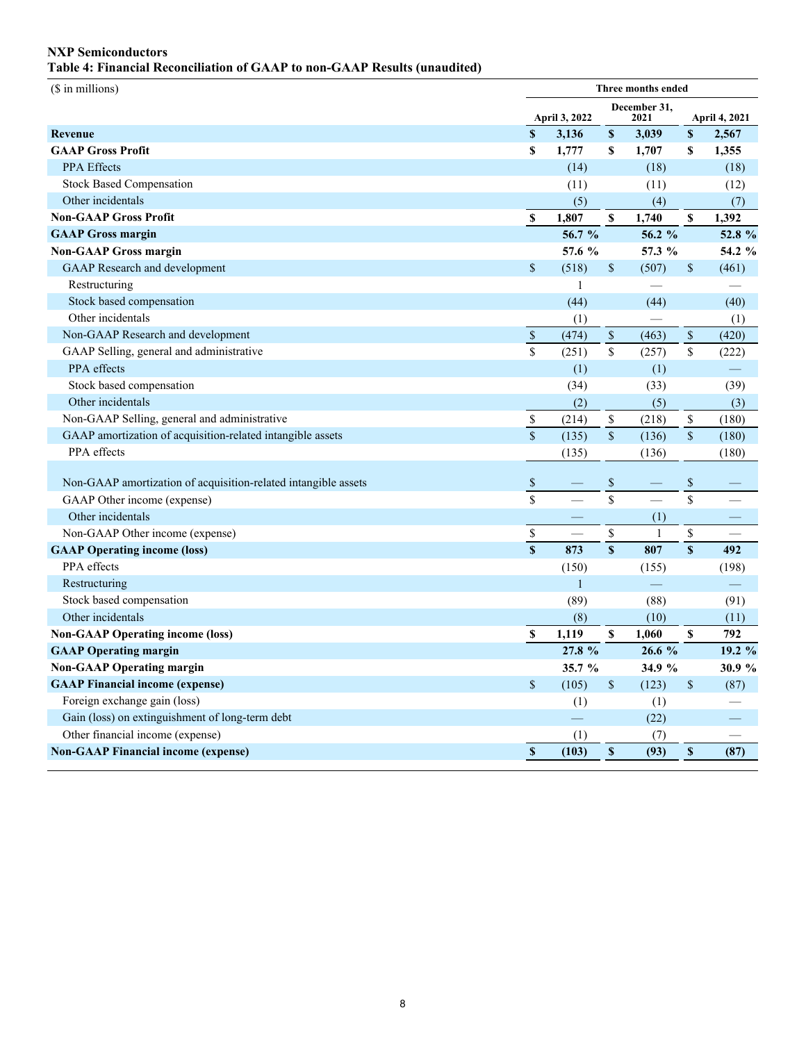### **NXP Semiconductors Table 4: Financial Reconciliation of GAAP to non-GAAP Results (unaudited)**

| (\$ in millions)                                               | Three months ended        |               |                         |              |                                                                       |                      |
|----------------------------------------------------------------|---------------------------|---------------|-------------------------|--------------|-----------------------------------------------------------------------|----------------------|
|                                                                |                           | April 3, 2022 | December 31,<br>2021    |              |                                                                       | <b>April 4, 2021</b> |
| Revenue                                                        | $\mathbf S$               | 3,136         | $\pmb{\mathbb{S}}$      | 3,039        | $\pmb{\mathbb{S}}$                                                    | 2,567                |
| <b>GAAP Gross Profit</b>                                       | $\mathbf S$               | 1,777         | S                       | 1,707        | S                                                                     | 1,355                |
| <b>PPA Effects</b>                                             |                           | (14)          |                         | (18)         |                                                                       | (18)                 |
| <b>Stock Based Compensation</b>                                |                           | (11)          |                         | (11)         |                                                                       | (12)                 |
| Other incidentals                                              |                           | (5)           |                         | (4)          |                                                                       | (7)                  |
| <b>Non-GAAP Gross Profit</b>                                   | $\boldsymbol{\mathsf{S}}$ | 1,807         | S                       | 1,740        | $\boldsymbol{\mathsf{s}}$                                             | 1,392                |
| <b>GAAP Gross margin</b>                                       |                           | 56.7 %        |                         | 56.2 $%$     |                                                                       | 52.8 %               |
| <b>Non-GAAP Gross margin</b>                                   |                           | 57.6 %        |                         | 57.3 %       |                                                                       | 54.2 %               |
| <b>GAAP</b> Research and development                           | $\mathbb S$               | (518)         | $\$$                    | (507)        | $\$$                                                                  | (461)                |
| Restructuring                                                  |                           | 1             |                         |              |                                                                       |                      |
| Stock based compensation                                       |                           | (44)          |                         | (44)         |                                                                       | (40)                 |
| Other incidentals                                              |                           | (1)           |                         |              |                                                                       | (1)                  |
| Non-GAAP Research and development                              | $\mathbb S$               | (474)         | $\$$                    | (463)        | $\mathbb{S}$                                                          | (420)                |
| GAAP Selling, general and administrative                       | $\overline{\mathbf{s}}$   | (251)         | $\mathbf{\hat{S}}$      | (257)        | $\mathbb S$                                                           | (222)                |
| PPA effects                                                    |                           | (1)           |                         | (1)          |                                                                       |                      |
| Stock based compensation                                       |                           | (34)          |                         | (33)         |                                                                       | (39)                 |
| Other incidentals                                              |                           | (2)           |                         | (5)          |                                                                       | (3)                  |
| Non-GAAP Selling, general and administrative                   | $\mathbb S$               | (214)         | \$                      | (218)        | $\mathbb{S}$                                                          | (180)                |
| GAAP amortization of acquisition-related intangible assets     | $\overline{\mathbf{s}}$   | (135)         | $\mathbf{\hat{S}}$      | (136)        | $\overline{\$}$                                                       | (180)                |
| PPA effects                                                    |                           | (135)         |                         | (136)        |                                                                       | (180)                |
|                                                                |                           |               |                         |              |                                                                       |                      |
| Non-GAAP amortization of acquisition-related intangible assets | $\mathbb S$               |               | $\$$                    |              | $\$$                                                                  |                      |
| GAAP Other income (expense)                                    | $\overline{s}$            |               | $\overline{\$}$         |              | $\overline{\$}$                                                       |                      |
| Other incidentals                                              |                           |               |                         | (1)          |                                                                       |                      |
| Non-GAAP Other income (expense)                                | $\mathbb S$               |               | \$                      | $\mathbf{1}$ | $\mathbb{S}% _{t}\left( t\right) \equiv\mathbb{S}_{t}\left( t\right)$ |                      |
| <b>GAAP Operating income (loss)</b>                            | $\overline{s}$            | 873           | $\overline{\mathbf{s}}$ | 807          | $\overline{\mathbf{s}}$                                               | 492                  |
| PPA effects                                                    |                           | (150)         |                         | (155)        |                                                                       | (198)                |
| Restructuring                                                  |                           | $\mathbf{1}$  |                         |              |                                                                       |                      |
| Stock based compensation                                       |                           | (89)          |                         | (88)         |                                                                       | (91)                 |
| Other incidentals                                              |                           | (8)           |                         | (10)         |                                                                       | (11)                 |
| <b>Non-GAAP Operating income (loss)</b>                        | $\pmb{\mathbb{S}}$        | 1,119         | \$                      | 1,060        | \$                                                                    | 792                  |
| <b>GAAP Operating margin</b>                                   |                           | 27.8 %        |                         | 26.6%        |                                                                       | 19.2 %               |
| <b>Non-GAAP Operating margin</b>                               |                           | 35.7%         |                         | 34.9 %       |                                                                       | 30.9 %               |
| <b>GAAP Financial income (expense)</b>                         | $\mathsf{\$}$             | (105)         | $\$$                    | (123)        | $\$$                                                                  | (87)                 |
| Foreign exchange gain (loss)                                   |                           | (1)           |                         | (1)          |                                                                       |                      |
| Gain (loss) on extinguishment of long-term debt                |                           | ═             |                         | (22)         |                                                                       |                      |
| Other financial income (expense)                               |                           | (1)           |                         | (7)          |                                                                       |                      |
| <b>Non-GAAP Financial income (expense)</b>                     | $\mathbb S$               | (103)         | $\pmb{\mathbb{S}}$      | (93)         | $\mathbb S$                                                           | (87)                 |